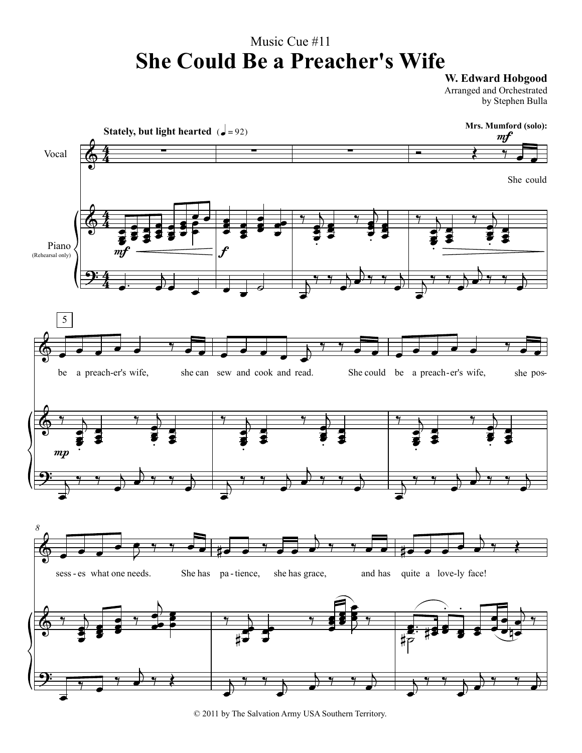## Music Cue #11 **She Could Be a Preacher's Wife**

**W. Edward Hobgood**

Arranged and Orchestrated by Stephen Bulla



© 2011 by The Salvation Army USA Southern Territory.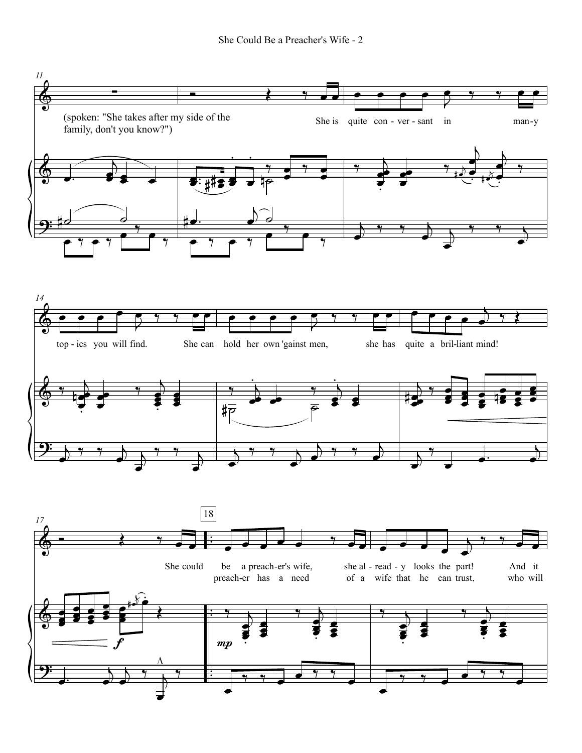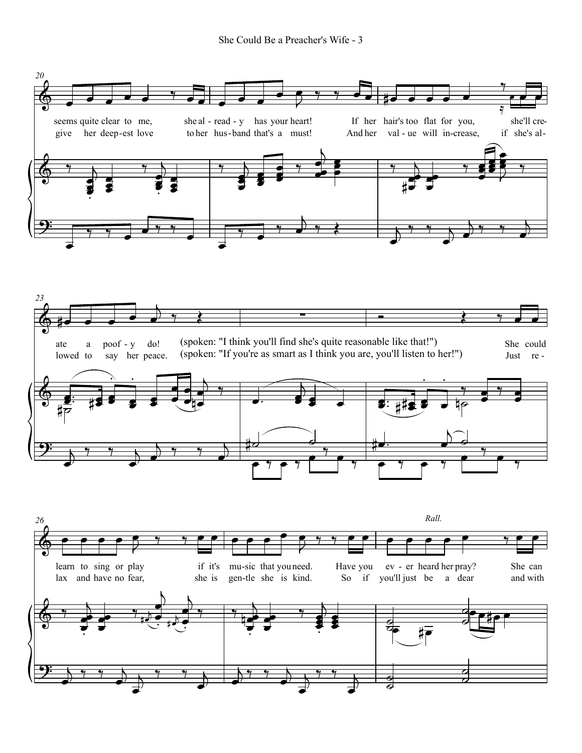

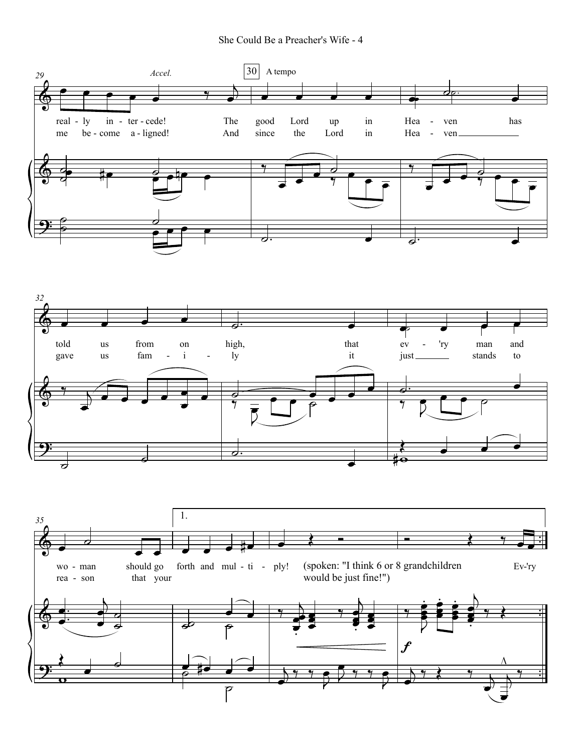



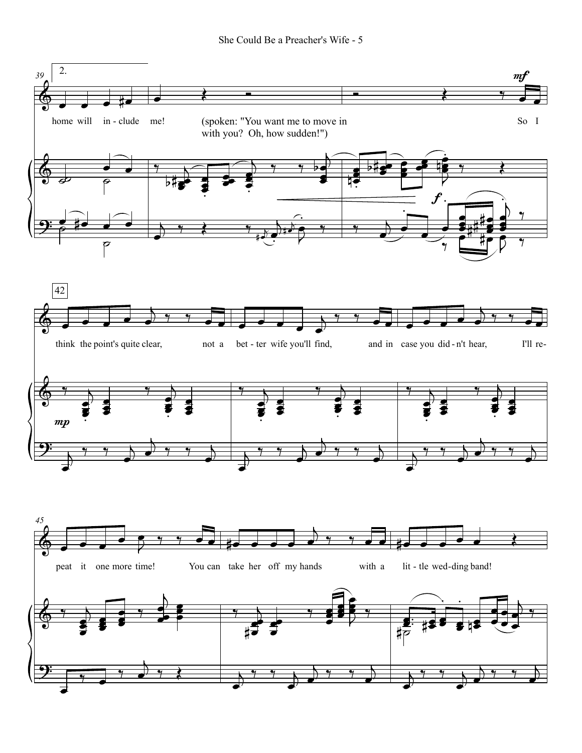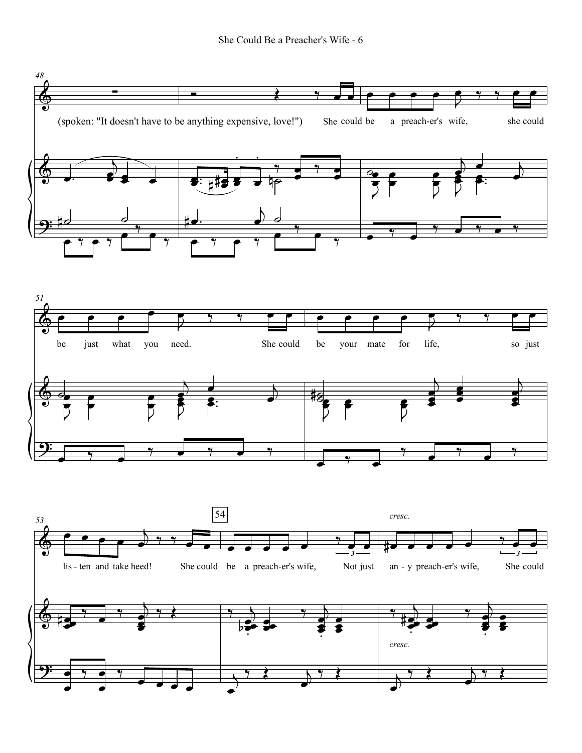